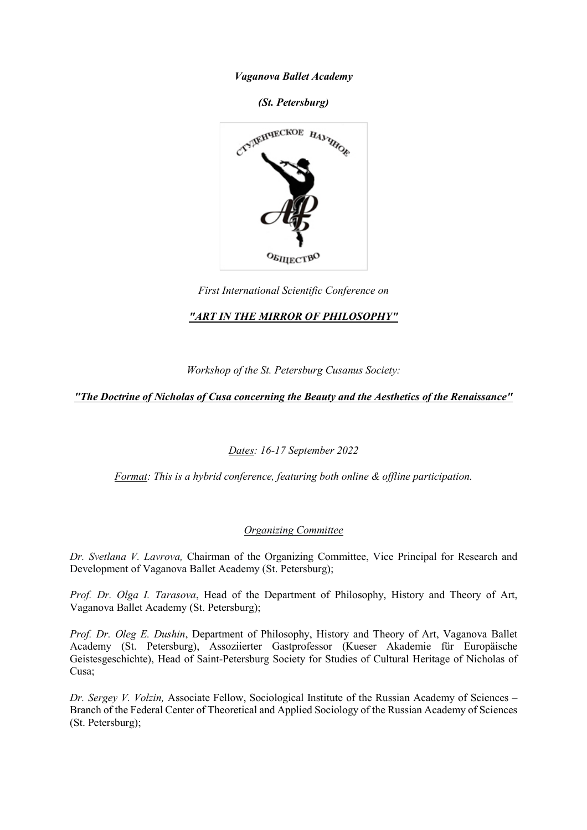*Vaganova Ballet Academy*

*(St. Petersburg)*



*First International Scientific Conference on* 

## *"ART IN THE MIRROR OF PHILOSOPHY"*

*Workshop of the St. Petersburg Cusanus Society:*

*"The Doctrine of Nicholas of Cusa concerning the Beauty and the Aesthetics of the Renaissance"*

*Dates: 16-17 September 2022*

*Format: This is a hybrid conference, featuring both online & offline participation.* 

## *Organizing Committee*

*Dr. Svetlana V. Lavrova,* Chairman of the Organizing Committee, Vice Principal for Research and Development of Vaganova Ballet Academy (St. Petersburg);

*Prof. Dr. Olga I. Tarasova*, Head of the Department of Philosophy, History and Theory of Art, Vaganova Ballet Academy (St. Petersburg);

*Prof. Dr. Oleg E. Dushin*, Department of Philosophy, History and Theory of Art, Vaganova Ballet Academy (St. Petersburg), Assoziierter Gastprofessor (Kueser Akademie für Europäische Geistesgeschichte), Head of Saint-Petersburg Society for Studies of Cultural Heritage of Nicholas of Cusa;

*Dr. Sergey V. Volzin,* Associate Fellow, Sociological Institute of the Russian Academy of Sciences – Branch of the Federal Center of Theoretical and Applied Sociology of the Russian Academy of Sciences (St. Petersburg);